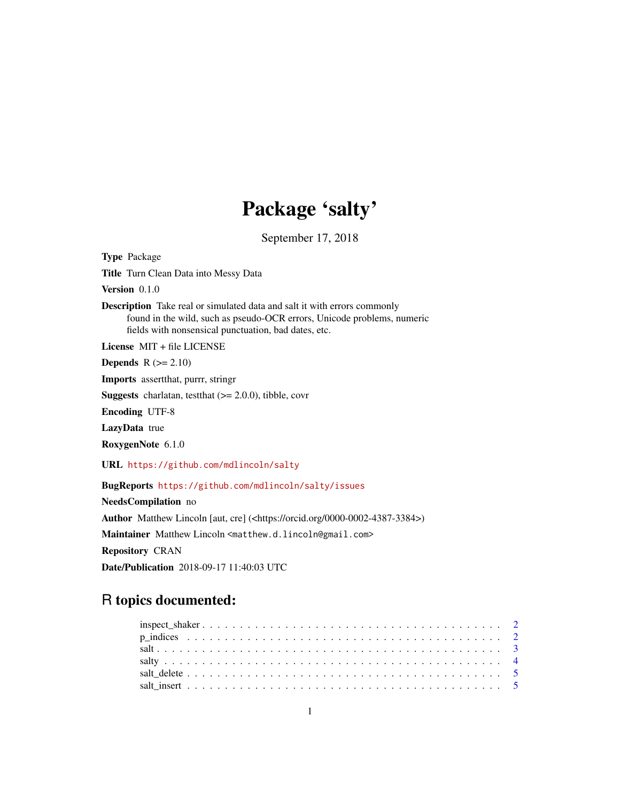# Package 'salty'

September 17, 2018

<span id="page-0-0"></span>Type Package Title Turn Clean Data into Messy Data Version 0.1.0 Description Take real or simulated data and salt it with errors commonly found in the wild, such as pseudo-OCR errors, Unicode problems, numeric fields with nonsensical punctuation, bad dates, etc. License MIT + file LICENSE **Depends**  $R$  ( $>= 2.10$ ) Imports assertthat, purrr, stringr **Suggests** charlatan, testthat  $(>= 2.0.0)$ , tibble, covr Encoding UTF-8 LazyData true RoxygenNote 6.1.0 URL <https://github.com/mdlincoln/salty> BugReports <https://github.com/mdlincoln/salty/issues> NeedsCompilation no Author Matthew Lincoln [aut, cre] (<https://orcid.org/0000-0002-4387-3384>) Maintainer Matthew Lincoln <matthew.d.lincoln@gmail.com> Repository CRAN Date/Publication 2018-09-17 11:40:03 UTC

# R topics documented: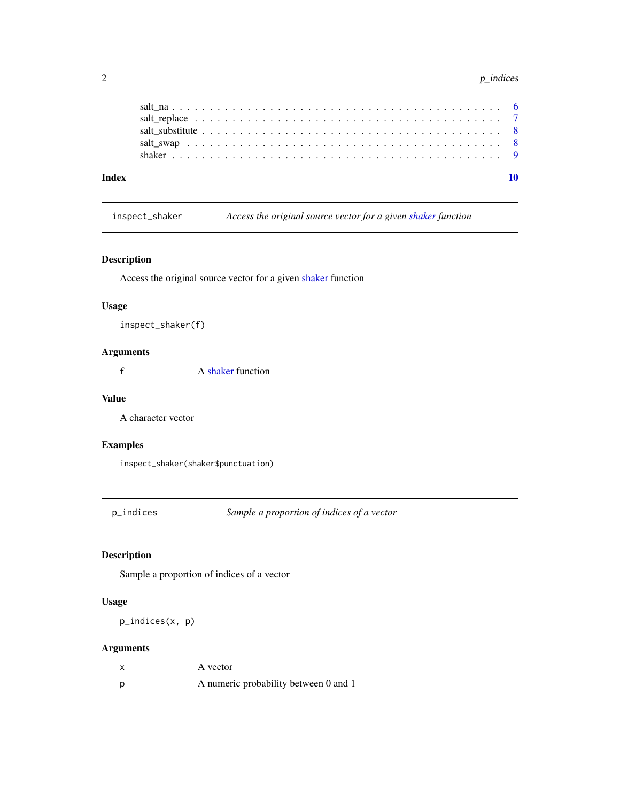#### 2 p\_indices  $p\_indices$

| Index |  |  |
|-------|--|--|
|       |  |  |
|       |  |  |
|       |  |  |
|       |  |  |
|       |  |  |

inspect\_shaker *Access the original source vector for a given [shaker](#page-8-1) function*

### Description

Access the original source vector for a given [shaker](#page-8-1) function

### Usage

inspect\_shaker(f)

### Arguments

f A [shaker](#page-8-1) function

### Value

A character vector

### Examples

inspect\_shaker(shaker\$punctuation)

p\_indices *Sample a proportion of indices of a vector*

### Description

Sample a proportion of indices of a vector

### Usage

p\_indices(x, p)

### Arguments

| $\boldsymbol{\mathsf{x}}$ | A vector                              |
|---------------------------|---------------------------------------|
| p                         | A numeric probability between 0 and 1 |

<span id="page-1-0"></span>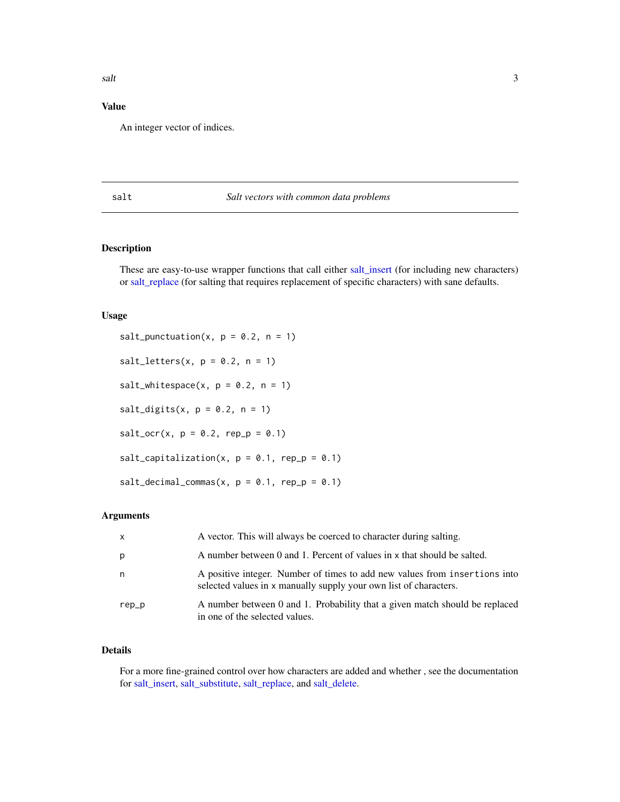### <span id="page-2-0"></span>Value

An integer vector of indices.

### salt *Salt vectors with common data problems*

### <span id="page-2-1"></span>Description

These are easy-to-use wrapper functions that call either [salt\\_insert](#page-4-1) (for including new characters) or [salt\\_replace](#page-6-1) (for salting that requires replacement of specific characters) with sane defaults.

#### Usage

salt\_punctuation(x,  $p = 0.2$ ,  $n = 1$ ) salt\_letters(x,  $p = 0.2$ ,  $n = 1$ ) salt\_whitespace(x,  $p = 0.2$ ,  $n = 1$ ) salt\_digits(x,  $p = 0.2$ ,  $n = 1$ )  $salt\_ocr(x, p = 0.2, rep_p = 0.1)$  $salt_capitalization(x, p = 0.1, rep_p = 0.1)$  $salt\_decimal\_commas(x, p = 0.1, rep_p = 0.1)$ 

### Arguments

| $\mathsf{X}$ | A vector. This will always be coerced to character during salting.                                                                              |
|--------------|-------------------------------------------------------------------------------------------------------------------------------------------------|
| p            | A number between 0 and 1. Percent of values in x that should be salted.                                                                         |
| n            | A positive integer. Number of times to add new values from insertions into<br>selected values in x manually supply your own list of characters. |
| rep_p        | A number between 0 and 1. Probability that a given match should be replaced<br>in one of the selected values.                                   |

### Details

For a more fine-grained control over how characters are added and whether , see the documentation for [salt\\_insert,](#page-4-1) [salt\\_substitute,](#page-7-1) [salt\\_replace,](#page-6-1) and [salt\\_delete.](#page-4-2)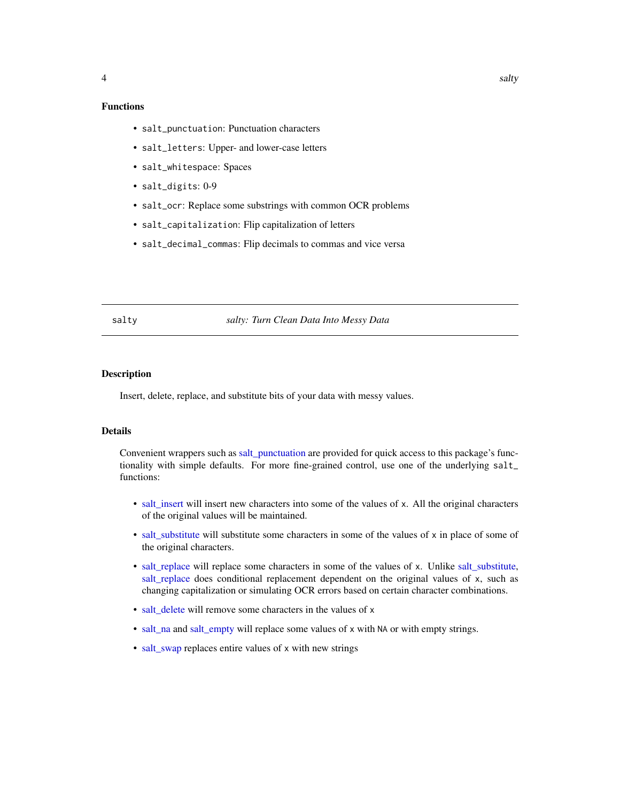### <span id="page-3-0"></span>Functions

- salt\_punctuation: Punctuation characters
- salt\_letters: Upper- and lower-case letters
- salt\_whitespace: Spaces
- salt\_digits: 0-9
- salt\_ocr: Replace some substrings with common OCR problems
- salt\_capitalization: Flip capitalization of letters
- salt\_decimal\_commas: Flip decimals to commas and vice versa

salty *salty: Turn Clean Data Into Messy Data*

### Description

Insert, delete, replace, and substitute bits of your data with messy values.

### Details

Convenient wrappers such as [salt\\_punctuation](#page-2-1) are provided for quick access to this package's functionality with simple defaults. For more fine-grained control, use one of the underlying salt\_ functions:

- [salt\\_insert](#page-4-1) will insert new characters into some of the values of x. All the original characters of the original values will be maintained.
- [salt\\_substitute](#page-7-1) will substitute some characters in some of the values of x in place of some of the original characters.
- [salt\\_replace](#page-6-1) will replace some characters in some of the values of x. Unlike [salt\\_substitute,](#page-7-1) [salt\\_replace](#page-6-1) does conditional replacement dependent on the original values of x, such as changing capitalization or simulating OCR errors based on certain character combinations.
- salt delete will remove some characters in the values of x
- [salt\\_na](#page-5-1) and [salt\\_empty](#page-5-2) will replace some values of x with NA or with empty strings.
- [salt\\_swap](#page-7-2) replaces entire values of x with new strings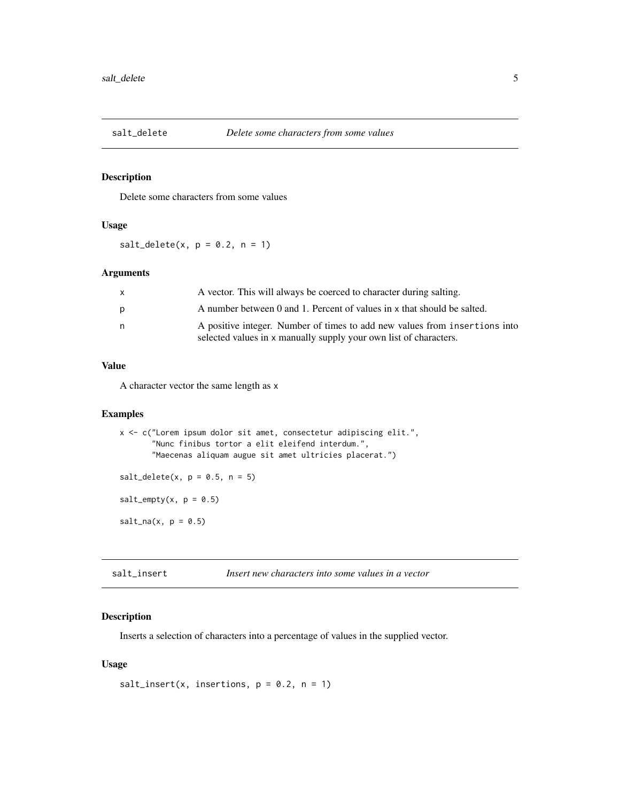<span id="page-4-2"></span><span id="page-4-0"></span>

### Description

Delete some characters from some values

### Usage

 $salt\_delete(x, p = 0.2, n = 1)$ 

### Arguments

| $\mathsf{x}$ | A vector. This will always be coerced to character during salting.         |
|--------------|----------------------------------------------------------------------------|
| p            | A number between 0 and 1. Percent of values in x that should be salted.    |
| n.           | A positive integer. Number of times to add new values from insertions into |
|              | selected values in x manually supply your own list of characters.          |

### Value

A character vector the same length as x

### Examples

```
x <- c("Lorem ipsum dolor sit amet, consectetur adipiscing elit.",
       "Nunc finibus tortor a elit eleifend interdum.",
      "Maecenas aliquam augue sit amet ultricies placerat.")
salt\_delete(x, p = 0.5, n = 5)salt\_empty(x, p = 0.5)salt\_na(x, p = 0.5)
```
<span id="page-4-1"></span>salt\_insert *Insert new characters into some values in a vector*

### Description

Inserts a selection of characters into a percentage of values in the supplied vector.

### Usage

```
salt_insert(x, insertions, p = 0.2, n = 1)
```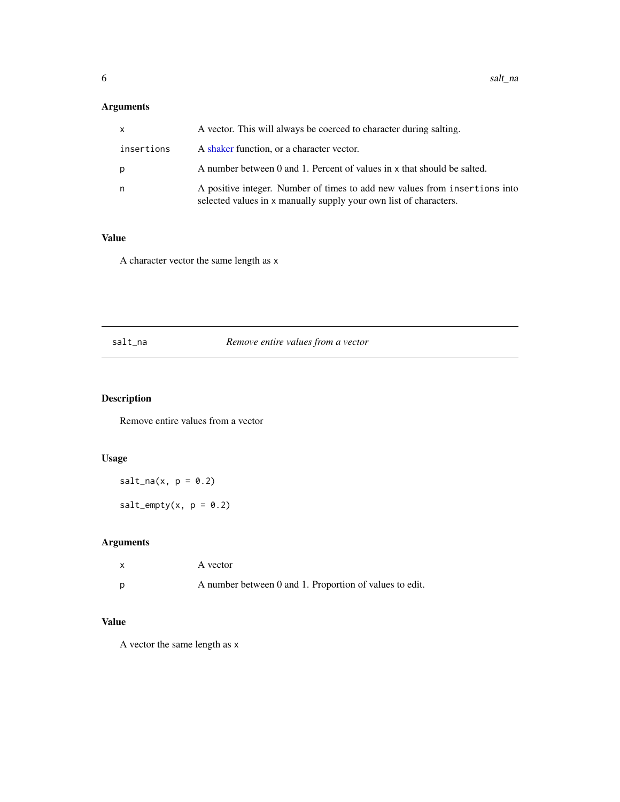### <span id="page-5-0"></span>Arguments

| $\mathsf{x}$ | A vector. This will always be coerced to character during salting.                                                                              |
|--------------|-------------------------------------------------------------------------------------------------------------------------------------------------|
| insertions   | A shaker function, or a character vector.                                                                                                       |
| р            | A number between 0 and 1. Percent of values in x that should be salted.                                                                         |
| n            | A positive integer. Number of times to add new values from insertions into<br>selected values in x manually supply your own list of characters. |

### Value

A character vector the same length as x

### <span id="page-5-1"></span>salt\_na *Remove entire values from a vector*

## <span id="page-5-2"></span>Description

Remove entire values from a vector

### Usage

 $salt\_na(x, p = 0.2)$ 

 $salt\_empty(x, p = 0.2)$ 

### Arguments

| $\mathsf{x}$ | A vector                                                |
|--------------|---------------------------------------------------------|
|              | A number between 0 and 1. Proportion of values to edit. |

### Value

A vector the same length as x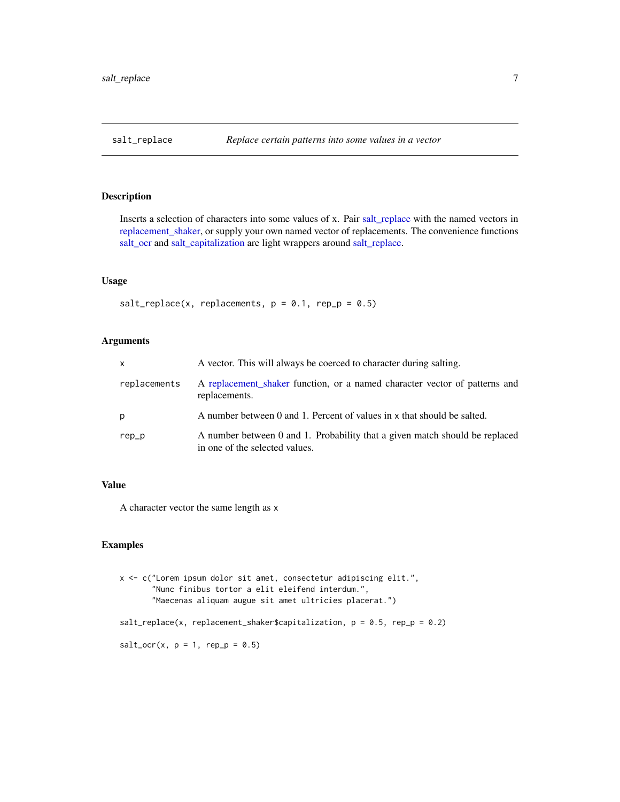<span id="page-6-1"></span><span id="page-6-0"></span>

### Description

Inserts a selection of characters into some values of x. Pair [salt\\_replace](#page-6-1) with the named vectors in [replacement\\_shaker,](#page-8-2) or supply your own named vector of replacements. The convenience functions [salt\\_ocr](#page-2-1) and [salt\\_capitalization](#page-2-1) are light wrappers around [salt\\_replace.](#page-6-1)

#### Usage

salt\_replace(x, replacements,  $p = 0.1$ , rep\_p = 0.5)

### Arguments

| $\mathsf{x}$ | A vector. This will always be coerced to character during salting.                                            |
|--------------|---------------------------------------------------------------------------------------------------------------|
| replacements | A replacement shaker function, or a named character vector of patterns and<br>replacements.                   |
| p            | A number between 0 and 1. Percent of values in x that should be salted.                                       |
| rep_p        | A number between 0 and 1. Probability that a given match should be replaced<br>in one of the selected values. |

### Value

A character vector the same length as x

### Examples

```
x <- c("Lorem ipsum dolor sit amet, consectetur adipiscing elit.",
       "Nunc finibus tortor a elit eleifend interdum.",
       "Maecenas aliquam augue sit amet ultricies placerat.")
salt\_replace(x, replacement\_shaker\Qapitalization, p = 0.5, rep_p = 0.2)
salt\_ocr(x, p = 1, rep_p = 0.5)
```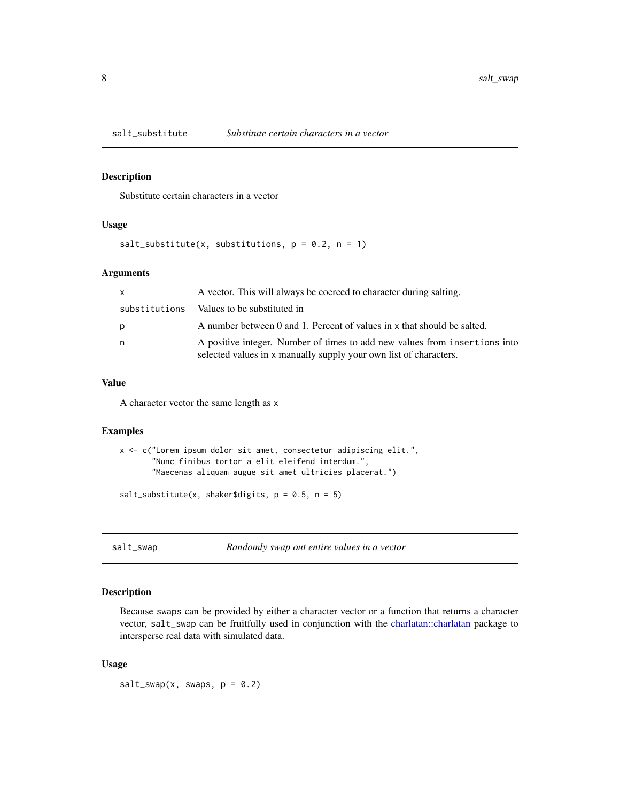<span id="page-7-1"></span><span id="page-7-0"></span>

### Description

Substitute certain characters in a vector

#### Usage

```
salt_substitute(x, substitutions, p = 0.2, n = 1)
```
### Arguments

| $\mathsf{x}$  | A vector. This will always be coerced to character during salting.                                                                              |
|---------------|-------------------------------------------------------------------------------------------------------------------------------------------------|
| substitutions | Values to be substituted in                                                                                                                     |
| p             | A number between 0 and 1. Percent of values in x that should be salted.                                                                         |
| n.            | A positive integer. Number of times to add new values from insertions into<br>selected values in x manually supply your own list of characters. |

### Value

A character vector the same length as x

### Examples

```
x <- c("Lorem ipsum dolor sit amet, consectetur adipiscing elit.",
       "Nunc finibus tortor a elit eleifend interdum.",
      "Maecenas aliquam augue sit amet ultricies placerat.")
```
salt\_substitute(x, shaker\$digits,  $p = 0.5$ ,  $n = 5$ )

<span id="page-7-2"></span>salt\_swap *Randomly swap out entire values in a vector*

### Description

Because swaps can be provided by either a character vector or a function that returns a character vector, salt\_swap can be fruitfully used in conjunction with the [charlatan::charlatan](#page-0-0) package to intersperse real data with simulated data.

### Usage

 $salt\_swap(x, swaps, p = 0.2)$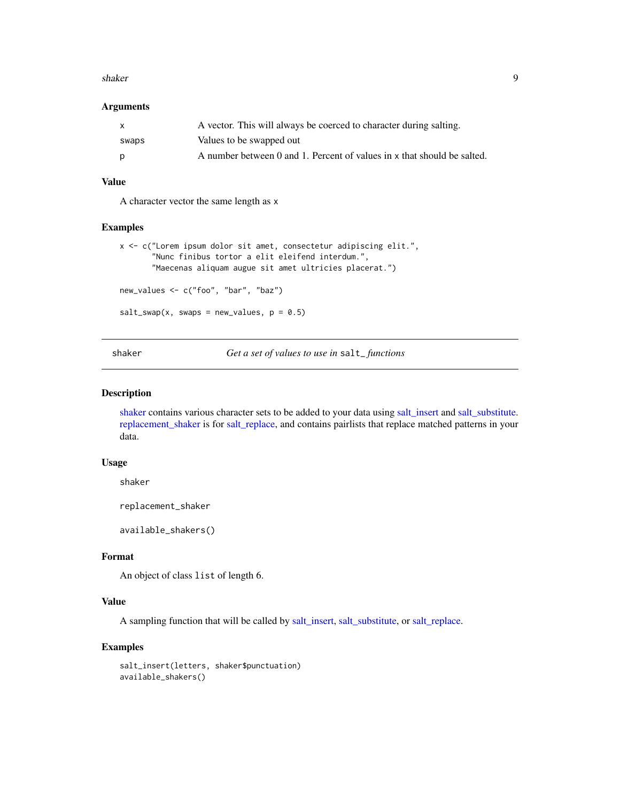#### <span id="page-8-0"></span>shaker 9

### Arguments

| X     | A vector. This will always be coerced to character during salting.      |
|-------|-------------------------------------------------------------------------|
| swaps | Values to be swapped out                                                |
| p     | A number between 0 and 1. Percent of values in x that should be salted. |

### Value

A character vector the same length as x

### Examples

```
x <- c("Lorem ipsum dolor sit amet, consectetur adipiscing elit.",
       "Nunc finibus tortor a elit eleifend interdum.",
      "Maecenas aliquam augue sit amet ultricies placerat.")
new_values <- c("foo", "bar", "baz")
salt\_swap(x, swaps = new_value, p = 0.5)
```
<span id="page-8-1"></span>shaker *Get a set of values to use in* salt\_ *functions*

#### <span id="page-8-2"></span>Description

[shaker](#page-8-1) contains various character sets to be added to your data using [salt\\_insert](#page-4-1) and [salt\\_substitute.](#page-7-1) [replacement\\_shaker](#page-8-2) is for [salt\\_replace,](#page-6-1) and contains pairlists that replace matched patterns in your data.

### Usage

shaker

replacement\_shaker

available\_shakers()

### Format

An object of class list of length 6.

### Value

A sampling function that will be called by [salt\\_insert,](#page-4-1) [salt\\_substitute,](#page-7-1) or [salt\\_replace.](#page-6-1)

### Examples

salt\_insert(letters, shaker\$punctuation) available\_shakers()